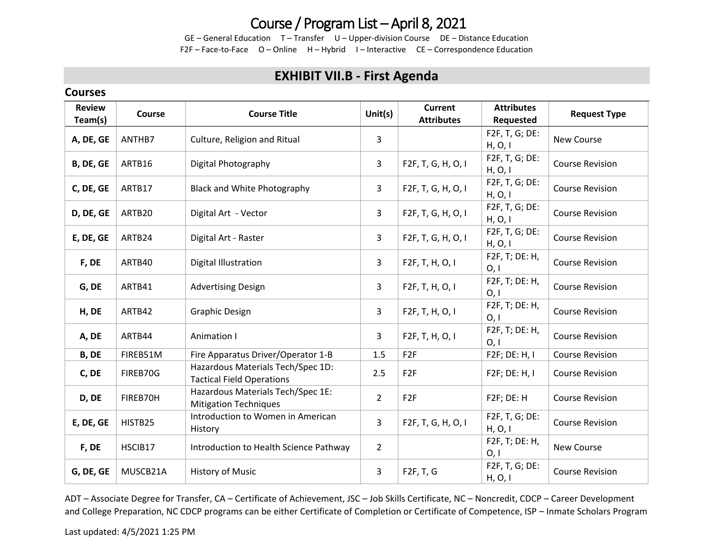## Course / Program List – April 8, 2021

GE – General Education T – Transfer U – Upper-division Course DE – Distance Education F2F – Face-to-Face O – Online H – Hybrid I – Interactive CE – Correspondence Education

### **EXHIBIT VII.B - First Agenda**

#### **Courses**

| <b>Review</b><br>Team(s) | Course   | <b>Course Title</b>                                                   | Unit(s)        | <b>Current</b><br><b>Attributes</b> | <b>Attributes</b><br>Requested | <b>Request Type</b>    |
|--------------------------|----------|-----------------------------------------------------------------------|----------------|-------------------------------------|--------------------------------|------------------------|
| A, DE, GE                | ANTHB7   | Culture, Religion and Ritual                                          | $\mathbf{3}$   |                                     | F2F, T, G; DE:<br>H, O, I      | New Course             |
| B, DE, GE                | ARTB16   | Digital Photography                                                   | $\mathbf{3}$   | F2F, T, G, H, O, I                  | F2F, T, G; DE:<br>H, O, I      | <b>Course Revision</b> |
| C, DE, GE                | ARTB17   | <b>Black and White Photography</b>                                    | 3              | F2F, T, G, H, O, I                  | F2F, T, G; DE:<br>H, O, I      | <b>Course Revision</b> |
| D, DE, GE                | ARTB20   | Digital Art - Vector                                                  | $\mathbf{3}$   | F2F, T, G, H, O, I                  | F2F, T, G; DE:<br>H, O, I      | <b>Course Revision</b> |
| E, DE, GE                | ARTB24   | Digital Art - Raster                                                  | $\mathbf{3}$   | F2F, T, G, H, O, I                  | F2F, T, G; DE:<br>H, O, I      | <b>Course Revision</b> |
| F, DE                    | ARTB40   | Digital Illustration                                                  | 3              | F2F, T, H, O, I                     | F2F, T; DE: H,<br>0,1          | <b>Course Revision</b> |
| G, DE                    | ARTB41   | <b>Advertising Design</b>                                             | $\mathbf{3}$   | F2F, T, H, O, I                     | F2F, T; DE: H,<br>0,1          | <b>Course Revision</b> |
| H, DE                    | ARTB42   | <b>Graphic Design</b>                                                 | 3              | F2F, T, H, O, I                     | F2F, T; DE: H,<br>O, I         | <b>Course Revision</b> |
| A, DE                    | ARTB44   | Animation I                                                           | $\overline{3}$ | F2F, T, H, O, I                     | F2F, T; DE: H,<br>0,1          | <b>Course Revision</b> |
| B, DE                    | FIREB51M | Fire Apparatus Driver/Operator 1-B                                    | 1.5            | F <sub>2F</sub>                     | F2F; DE: H, I                  | <b>Course Revision</b> |
| C, DE                    | FIREB70G | Hazardous Materials Tech/Spec 1D:<br><b>Tactical Field Operations</b> | 2.5            | F <sub>2F</sub>                     | F2F; DE: H, I                  | <b>Course Revision</b> |
| D, DE                    | FIREB70H | Hazardous Materials Tech/Spec 1E:<br><b>Mitigation Techniques</b>     | $\overline{2}$ | F <sub>2F</sub>                     | F2F; DE: H                     | <b>Course Revision</b> |
| E, DE, GE                | HISTB25  | Introduction to Women in American<br>History                          | $\overline{3}$ | F2F, T, G, H, O, I                  | F2F, T, G; DE:<br>H, O, I      | <b>Course Revision</b> |
| F, DE                    | HSCIB17  | Introduction to Health Science Pathway                                | $\overline{2}$ |                                     | F2F, T; DE: H,<br>0, I         | New Course             |
| G, DE, GE                | MUSCB21A | <b>History of Music</b>                                               | $\mathbf{3}$   | F2F, T, G                           | F2F, T, G; DE:<br>H, O, I      | <b>Course Revision</b> |

ADT – Associate Degree for Transfer, CA – Certificate of Achievement, JSC – Job Skills Certificate, NC – Noncredit, CDCP – Career Development and College Preparation, NC CDCP programs can be either Certificate of Completion or Certificate of Competence, ISP – Inmate Scholars Program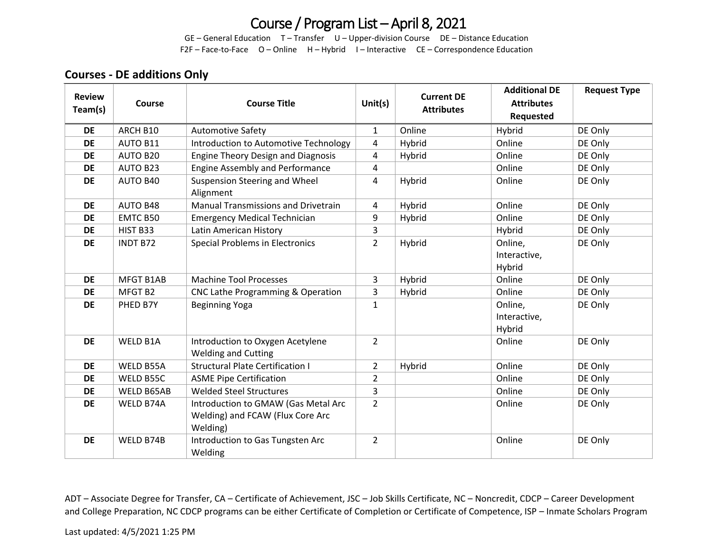# Course / Program List – April 8, 2021

GE – General Education T – Transfer U – Upper-division Course DE – Distance Education F2F – Face-to-Face O – Online H – Hybrid I – Interactive CE – Correspondence Education

#### **Courses - DE additions Only**

| <b>Review</b><br>Team(s) | Course           | <b>Course Title</b>                                                                 | Unit $(s)$     | <b>Current DE</b><br><b>Attributes</b> | <b>Additional DE</b><br><b>Attributes</b><br>Requested | <b>Request Type</b> |
|--------------------------|------------------|-------------------------------------------------------------------------------------|----------------|----------------------------------------|--------------------------------------------------------|---------------------|
| <b>DE</b>                | ARCH B10         | <b>Automotive Safety</b>                                                            | $\mathbf{1}$   | Online                                 | Hybrid                                                 | DE Only             |
| <b>DE</b>                | <b>AUTO B11</b>  | Introduction to Automotive Technology                                               | 4              | Hybrid                                 | Online                                                 | DE Only             |
| <b>DE</b>                | AUTO B20         | <b>Engine Theory Design and Diagnosis</b>                                           | 4              | Hybrid                                 | Online                                                 | DE Only             |
| <b>DE</b>                | <b>AUTO B23</b>  | <b>Engine Assembly and Performance</b>                                              | 4              |                                        | Online                                                 | DE Only             |
| <b>DE</b>                | AUTO B40         | Suspension Steering and Wheel<br>Alignment                                          | 4              | Hybrid                                 | Online                                                 | DE Only             |
| DE                       | <b>AUTO B48</b>  | <b>Manual Transmissions and Drivetrain</b>                                          | 4              | Hybrid                                 | Online                                                 | DE Only             |
| <b>DE</b>                | EMTC B50         | <b>Emergency Medical Technician</b>                                                 | 9              | Hybrid                                 | Online                                                 | DE Only             |
| <b>DE</b>                | HIST B33         | Latin American History                                                              | 3              |                                        | Hybrid                                                 | DE Only             |
| <b>DE</b>                | <b>INDT B72</b>  | <b>Special Problems in Electronics</b>                                              | $\overline{2}$ | Hybrid                                 | Online,<br>Interactive,<br>Hybrid                      | DE Only             |
| <b>DE</b>                | <b>MFGT B1AB</b> | <b>Machine Tool Processes</b>                                                       | 3              | Hybrid                                 | Online                                                 | DE Only             |
| <b>DE</b>                | MFGT B2          | CNC Lathe Programming & Operation                                                   | 3              | Hybrid                                 | Online                                                 | DE Only             |
| <b>DE</b>                | PHED B7Y         | Beginning Yoga                                                                      | $\mathbf{1}$   |                                        | Online,<br>Interactive,<br>Hybrid                      | DE Only             |
| <b>DE</b>                | WELD B1A         | Introduction to Oxygen Acetylene<br><b>Welding and Cutting</b>                      | $\overline{2}$ |                                        | Online                                                 | DE Only             |
| <b>DE</b>                | WELD B55A        | <b>Structural Plate Certification I</b>                                             | $\overline{2}$ | Hybrid                                 | Online                                                 | DE Only             |
| <b>DE</b>                | WELD B55C        | <b>ASME Pipe Certification</b>                                                      | $\overline{2}$ |                                        | Online                                                 | DE Only             |
| <b>DE</b>                | WELD B65AB       | <b>Welded Steel Structures</b>                                                      | 3              |                                        | Online                                                 | DE Only             |
| <b>DE</b>                | WELD B74A        | Introduction to GMAW (Gas Metal Arc<br>Welding) and FCAW (Flux Core Arc<br>Welding) | $\overline{2}$ |                                        | Online                                                 | DE Only             |
| <b>DE</b>                | WELD B74B        | Introduction to Gas Tungsten Arc<br>Welding                                         | $\overline{2}$ |                                        | Online                                                 | DE Only             |

ADT – Associate Degree for Transfer, CA – Certificate of Achievement, JSC – Job Skills Certificate, NC – Noncredit, CDCP – Career Development and College Preparation, NC CDCP programs can be either Certificate of Completion or Certificate of Competence, ISP – Inmate Scholars Program